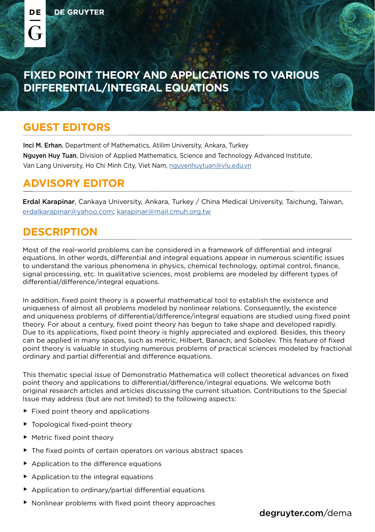( -

# **FIXED POINT THEORY AND APPLICATIONS TO VARIOUS DIFFERENTIAL/INTEGRAL EQUATIONS**

#### **GUEST EDITORS**

Inci M. Erhan, Department of Mathematics, Atilim University, Ankara, Turkey Nguyen Huy Tuan, Division of Applied Mathematics, Science and Technology Advanced Institute, Van Lang University, Ho Chi Minh City, Viet Nam, [nguyenhuytuan@vlu.edu.vn](mailto:nguyenhuytuan%40vlu.edu.vn?subject=)

## **ADVISORY EDITOR**

Erdal Karapinar, Cankaya University, Ankara, Turkey / China Medical University, Taichung, Taiwan, [erdalkarapinar@yahoo.com;](mailto:erdalkarapinar%40yahoo.com?subject=) [karapinar@mail.cmuh.org.tw](mailto:karapinar%40mail.cmuh.org.tw?subject=)

### **DESCRIPTION**

Most of the real-world problems can be considered in a framework of differential and integral equations. In other words, differential and integral equations appear in numerous scientific issues to understand the various phenomena in physics, chemical technology, optimal control, finance, signal processing, etc. In qualitative sciences, most problems are modeled by different types of differential/difference/integral equations.

In addition, fixed point theory is a powerful mathematical tool to establish the existence and uniqueness of almost all problems modeled by nonlinear relations. Consequently, the existence and uniqueness problems of differential/difference/integral equations are studied using fixed point theory. For about a century, fixed point theory has begun to take shape and developed rapidly. Due to its applications, fixed point theory is highly appreciated and explored. Besides, this theory can be applied in many spaces, such as metric, Hilbert, Banach, and Sobolev. This feature of fixed point theory is valuable in studying numerous problems of practical sciences modeled by fractional ordinary and partial differential and difference equations.

This thematic special issue of Demonstratio Mathematica will collect theoretical advances on fixed point theory and applications to differential/difference/integral equations. We welcome both original research articles and articles discussing the current situation. Contributions to the Special Issue may address (but are not limited) to the following aspects:

- $\blacktriangleright$  Fixed point theory and applications
- $\blacktriangleright$  Topological fixed-point theory
- $\blacktriangleright$  Metric fixed point theory
- $\blacktriangleright$  The fixed points of certain operators on various abstract spaces
- $\blacktriangleright$  Application to the difference equations
- $\blacktriangleright$  Application to the integral equations
- $\blacktriangleright$  Application to ordinary/partial differential equations
- $\blacktriangleright$  Nonlinear problems with fixed point theory approaches